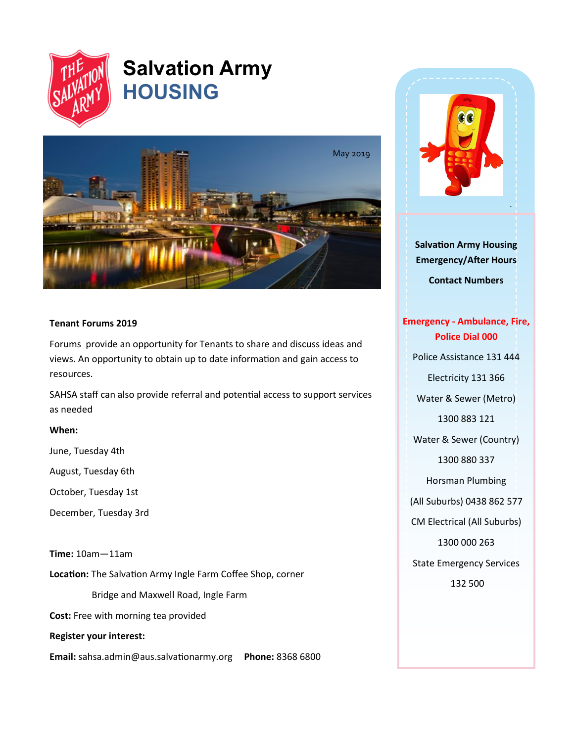

# **Salvation Army HOUSING**



## **Tenant Forums 2019**

Forums provide an opportunity for Tenants to share and discuss ideas and views. An opportunity to obtain up to date information and gain access to resources.

SAHSA staff can also provide referral and potential access to support services as needed

### **When:**

June, Tuesday 4th

August, Tuesday 6th

October, Tuesday 1st

December, Tuesday 3rd

**Time:** 10am—11am

**Location:** The Salvation Army Ingle Farm Coffee Shop, corner

Bridge and Maxwell Road, Ingle Farm

**Cost:** Free with morning tea provided

**Register your interest:**

**Email:** sahsa.admin@aus.salvationarmy.org **Phone:** 8368 6800



**Salvation Army Housing Emergency/After Hours Contact Numbers**

**Emergency - Ambulance, Fire, Police Dial 000** Police Assistance 131 444 Electricity 131 366 Water & Sewer (Metro) 1300 883 121 Water & Sewer (Country) 1300 880 337 Horsman Plumbing (All Suburbs) 0438 862 577 CM Electrical (All Suburbs) 1300 000 263 State Emergency Services 132 500